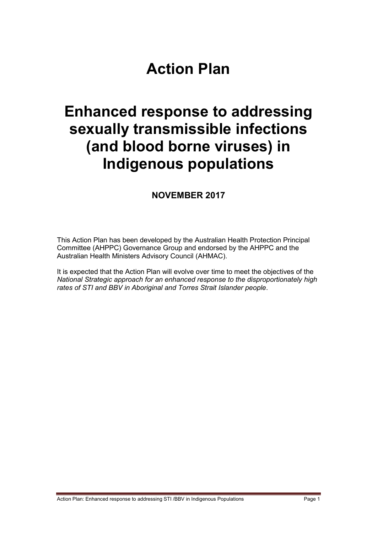# **Action Plan**

# **Enhanced response to addressing sexually transmissible infections (and blood borne viruses) in Indigenous populations**

## **NOVEMBER 2017**

This Action Plan has been developed by the Australian Health Protection Principal Committee (AHPPC) Governance Group and endorsed by the AHPPC and the Australian Health Ministers Advisory Council (AHMAC).

It is expected that the Action Plan will evolve over time to meet the objectives of the *National Strategic approach for an enhanced response to the disproportionately high rates of STI and BBV in Aboriginal and Torres Strait Islander people*.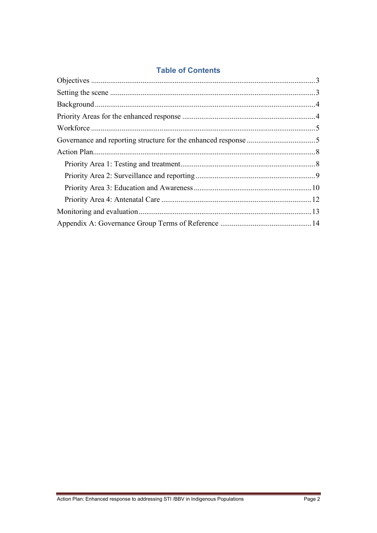## **Table of Contents**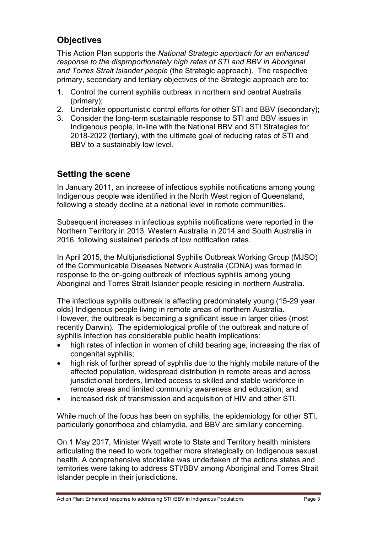## <span id="page-2-0"></span>**Objectives**

This Action Plan supports the *National Strategic approach for an enhanced response to the disproportionately high rates of STI and BBV in Aboriginal and Torres Strait Islander people* (the Strategic approach). The respective primary, secondary and tertiary objectives of the Strategic approach are to:

- 1. Control the current syphilis outbreak in northern and central Australia (primary);
- 2. Undertake opportunistic control efforts for other STI and BBV (secondary);
- 3. Consider the long-term sustainable response to STI and BBV issues in Indigenous people, in-line with the National BBV and STI Strategies for 2018-2022 (tertiary), with the ultimate goal of reducing rates of STI and BBV to a sustainably low level.

## <span id="page-2-1"></span>**Setting the scene**

In January 2011, an increase of infectious syphilis notifications among young Indigenous people was identified in the North West region of Queensland, following a steady decline at a national level in remote communities.

Subsequent increases in infectious syphilis notifications were reported in the Northern Territory in 2013, Western Australia in 2014 and South Australia in 2016, following sustained periods of low notification rates.

In April 2015, the Multijurisdictional Syphilis Outbreak Working Group (MJSO) of the Communicable Diseases Network Australia (CDNA) was formed in response to the on-going outbreak of infectious syphilis among young Aboriginal and Torres Strait Islander people residing in northern Australia.

The infectious syphilis outbreak is affecting predominately young (15-29 year olds) Indigenous people living in remote areas of northern Australia. However, the outbreak is becoming a significant issue in larger cities (most recently Darwin). The epidemiological profile of the outbreak and nature of syphilis infection has considerable public health implications:

- high rates of infection in women of child bearing age, increasing the risk of congenital syphilis;
- high risk of further spread of syphilis due to the highly mobile nature of the affected population, widespread distribution in remote areas and across jurisdictional borders, limited access to skilled and stable workforce in remote areas and limited community awareness and education; and
- increased risk of transmission and acquisition of HIV and other STI.

While much of the focus has been on syphilis, the epidemiology for other STI, particularly gonorrhoea and chlamydia, and BBV are similarly concerning.

On 1 May 2017, Minister Wyatt wrote to State and Territory health ministers articulating the need to work together more strategically on Indigenous sexual health. A comprehensive stocktake was undertaken of the actions states and territories were taking to address STI/BBV among Aboriginal and Torres Strait Islander people in their jurisdictions.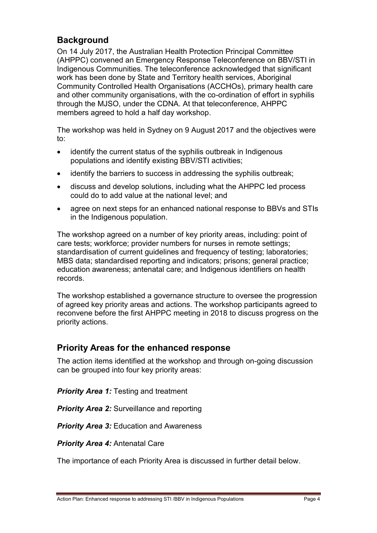## <span id="page-3-0"></span>**Background**

On 14 July 2017, the Australian Health Protection Principal Committee (AHPPC) convened an Emergency Response Teleconference on BBV/STI in Indigenous Communities. The teleconference acknowledged that significant work has been done by State and Territory health services, Aboriginal Community Controlled Health Organisations (ACCHOs), primary health care and other community organisations, with the co-ordination of effort in syphilis through the MJSO, under the CDNA. At that teleconference, AHPPC members agreed to hold a half day workshop.

The workshop was held in Sydney on 9 August 2017 and the objectives were to:

- identify the current status of the syphilis outbreak in Indigenous populations and identify existing BBV/STI activities;
- identify the barriers to success in addressing the syphilis outbreak;
- discuss and develop solutions, including what the AHPPC led process could do to add value at the national level; and
- agree on next steps for an enhanced national response to BBVs and STIs in the Indigenous population.

The workshop agreed on a number of key priority areas, including: point of care tests; workforce; provider numbers for nurses in remote settings; standardisation of current guidelines and frequency of testing; laboratories; MBS data; standardised reporting and indicators; prisons; general practice; education awareness; antenatal care; and Indigenous identifiers on health records.

The workshop established a governance structure to oversee the progression of agreed key priority areas and actions. The workshop participants agreed to reconvene before the first AHPPC meeting in 2018 to discuss progress on the priority actions.

## <span id="page-3-1"></span>**Priority Areas for the enhanced response**

The action items identified at the workshop and through on-going discussion can be grouped into four key priority areas:

*Priority Area 1:* Testing and treatment

*Priority Area 2:* Surveillance and reporting

*Priority Area 3: Education and Awareness* 

*Priority Area 4:* Antenatal Care

The importance of each Priority Area is discussed in further detail below.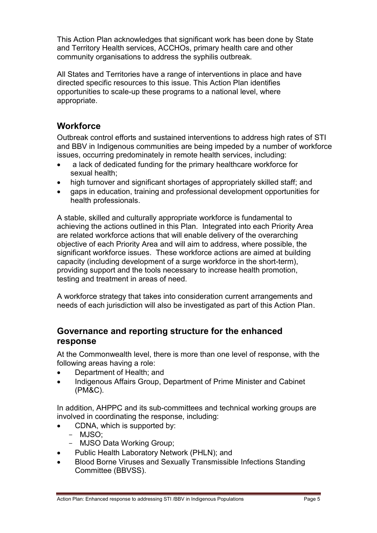This Action Plan acknowledges that significant work has been done by State and Territory Health services, ACCHOs, primary health care and other community organisations to address the syphilis outbreak.

All States and Territories have a range of interventions in place and have directed specific resources to this issue. This Action Plan identifies opportunities to scale-up these programs to a national level, where appropriate.

## <span id="page-4-0"></span>**Workforce**

Outbreak control efforts and sustained interventions to address high rates of STI and BBV in Indigenous communities are being impeded by a number of workforce issues, occurring predominately in remote health services, including:

- a lack of dedicated funding for the primary healthcare workforce for sexual health;
- high turnover and significant shortages of appropriately skilled staff; and
- gaps in education, training and professional development opportunities for health professionals.

A stable, skilled and culturally appropriate workforce is fundamental to achieving the actions outlined in this Plan. Integrated into each Priority Area are related workforce actions that will enable delivery of the overarching objective of each Priority Area and will aim to address, where possible, the significant workforce issues. These workforce actions are aimed at building capacity (including development of a surge workforce in the short-term), providing support and the tools necessary to increase health promotion, testing and treatment in areas of need.

A workforce strategy that takes into consideration current arrangements and needs of each jurisdiction will also be investigated as part of this Action Plan.

## <span id="page-4-1"></span>**Governance and reporting structure for the enhanced response**

At the Commonwealth level, there is more than one level of response, with the following areas having a role:

- Department of Health; and
- Indigenous Affairs Group, Department of Prime Minister and Cabinet (PM&C).

In addition, AHPPC and its sub-committees and technical working groups are involved in coordinating the response, including:

- CDNA, which is supported by:
	- MJSO;
	- MJSO Data Working Group;
- Public Health Laboratory Network (PHLN); and
- Blood Borne Viruses and Sexually Transmissible Infections Standing Committee (BBVSS).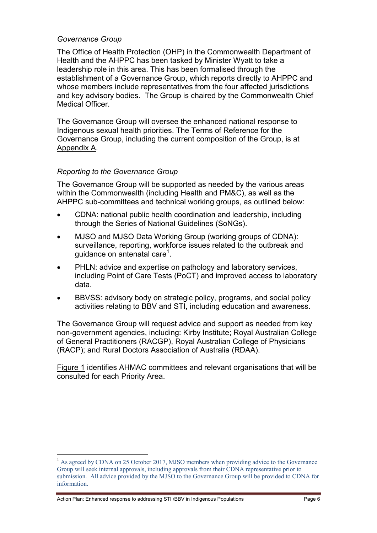#### *Governance Group*

The Office of Health Protection (OHP) in the Commonwealth Department of Health and the AHPPC has been tasked by Minister Wyatt to take a leadership role in this area. This has been formalised through the establishment of a Governance Group, which reports directly to AHPPC and whose members include representatives from the four affected jurisdictions and key advisory bodies. The Group is chaired by the Commonwealth Chief Medical Officer.

The Governance Group will oversee the enhanced national response to Indigenous sexual health priorities. The Terms of Reference for the Governance Group, including the current composition of the Group, is at Appendix A.

#### *Reporting to the Governance Group*

The Governance Group will be supported as needed by the various areas within the Commonwealth (including Health and PM&C), as well as the AHPPC sub-committees and technical working groups, as outlined below:

- CDNA: national public health coordination and leadership, including through the Series of National Guidelines (SoNGs).
- MJSO and MJSO Data Working Group (working groups of CDNA): surveillance, reporting, workforce issues related to the outbreak and guidance on antenatal care $1$ .
- PHLN: advice and expertise on pathology and laboratory services, including Point of Care Tests (PoCT) and improved access to laboratory data.
- BBVSS: advisory body on strategic policy, programs, and social policy activities relating to BBV and STI, including education and awareness.

The Governance Group will request advice and support as needed from key non-government agencies, including: Kirby Institute; Royal Australian College of General Practitioners (RACGP), Royal Australian College of Physicians (RACP); and Rural Doctors Association of Australia (RDAA).

Figure 1 identifies AHMAC committees and relevant organisations that will be consulted for each Priority Area.

Action Plan: Enhanced response to addressing STI /BBV in Indigenous Populations Page 6

1

<sup>&</sup>lt;sup>1</sup> As agreed by CDNA on 25 October 2017, MJSO members when providing advice to the Governance Group will seek internal approvals, including approvals from their CDNA representative prior to submission. All advice provided by the MJSO to the Governance Group will be provided to CDNA for information.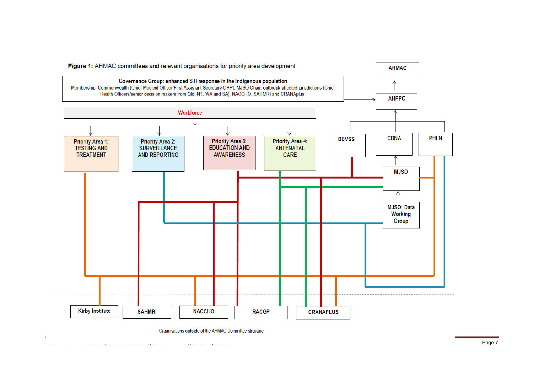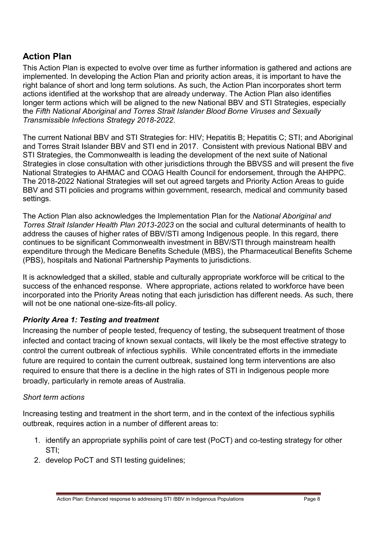# <span id="page-7-0"></span>**Action Plan**

This Action Plan is expected to evolve over time as further information is gathered and actions are implemented. In developing the Action Plan and priority action areas, it is important to have the right balance of short and long term solutions. As such, the Action Plan incorporates short term actions identified at the workshop that are already underway. The Action Plan also identifies longer term actions which will be aligned to the new National BBV and STI Strategies, especially the *Fifth National Aboriginal and Torres Strait Islander Blood Borne Viruses and Sexually Transmissible Infections Strategy 2018-2022*.

The current National BBV and STI Strategies for: HIV; Hepatitis B; Hepatitis C; STI; and Aboriginal and Torres Strait Islander BBV and STI end in 2017. Consistent with previous National BBV and STI Strategies, the Commonwealth is leading the development of the next suite of National Strategies in close consultation with other jurisdictions through the BBVSS and will present the five National Strategies to AHMAC and COAG Health Council for endorsement, through the AHPPC. The 2018-2022 National Strategies will set out agreed targets and Priority Action Areas to guide BBV and STI policies and programs within government, research, medical and community based settings.

The Action Plan also acknowledges the Implementation Plan for the *National Aboriginal and Torres Strait Islander Health Plan 2013-2023* on the social and cultural determinants of health to address the causes of higher rates of BBV/STI among Indigenous people. In this regard, there continues to be significant Commonwealth investment in BBV/STI through mainstream health expenditure through the Medicare Benefits Schedule (MBS), the Pharmaceutical Benefits Scheme (PBS), hospitals and National Partnership Payments to jurisdictions.

It is acknowledged that a skilled, stable and culturally appropriate workforce will be critical to the success of the enhanced response. Where appropriate, actions related to workforce have been incorporated into the Priority Areas noting that each jurisdiction has different needs. As such, there will not be one national one-size-fits-all policy.

## <span id="page-7-1"></span>*Priority Area 1: Testing and treatment*

Increasing the number of people tested, frequency of testing, the subsequent treatment of those infected and contact tracing of known sexual contacts, will likely be the most effective strategy to control the current outbreak of infectious syphilis. While concentrated efforts in the immediate future are required to contain the current outbreak, sustained long term interventions are also required to ensure that there is a decline in the high rates of STI in Indigenous people more broadly, particularly in remote areas of Australia.

#### *Short term actions*

Increasing testing and treatment in the short term, and in the context of the infectious syphilis outbreak, requires action in a number of different areas to:

- 1. identify an appropriate syphilis point of care test (PoCT) and co-testing strategy for other STI;
- 2. develop PoCT and STI testing guidelines;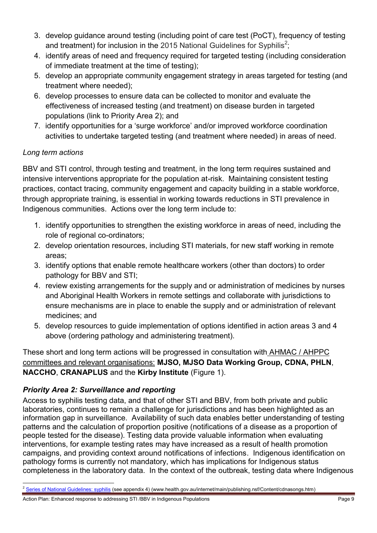- 3. develop guidance around testing (including point of care test (PoCT), frequency of testing and treatment) for inclusion in the 2015 National Guidelines for Syphilis<sup>2</sup>;
- 4. identify areas of need and frequency required for targeted testing (including consideration of immediate treatment at the time of testing);
- 5. develop an appropriate community engagement strategy in areas targeted for testing (and treatment where needed);
- 6. develop processes to ensure data can be collected to monitor and evaluate the effectiveness of increased testing (and treatment) on disease burden in targeted populations (link to Priority Area 2); and
- 7. identify opportunities for a 'surge workforce' and/or improved workforce coordination activities to undertake targeted testing (and treatment where needed) in areas of need.

## *Long term actions*

BBV and STI control, through testing and treatment, in the long term requires sustained and intensive interventions appropriate for the population at-risk. Maintaining consistent testing practices, contact tracing, community engagement and capacity building in a stable workforce, through appropriate training, is essential in working towards reductions in STI prevalence in Indigenous communities. Actions over the long term include to:

- 1. identify opportunities to strengthen the existing workforce in areas of need, including the role of regional co-ordinators;
- 2. develop orientation resources, including STI materials, for new staff working in remote areas;
- 3. identify options that enable remote healthcare workers (other than doctors) to order pathology for BBV and STI;
- 4. review existing arrangements for the supply and or administration of medicines by nurses and Aboriginal Health Workers in remote settings and collaborate with jurisdictions to ensure mechanisms are in place to enable the supply and or administration of relevant medicines; and
- 5. develop resources to guide implementation of options identified in action areas 3 and 4 above (ordering pathology and administering treatment).

These short and long term actions will be progressed in consultation with AHMAC / AHPPC committees and relevant organisations: **MJSO, MJSO Data Working Group, CDNA, PHLN**, **NACCHO**, **CRANAPLUS** and the **Kirby Institute** (Figure 1).

## <span id="page-8-0"></span>*Priority Area 2: Surveillance and reporting*

Access to syphilis testing data, and that of other STI and BBV, from both private and public laboratories, continues to remain a challenge for jurisdictions and has been highlighted as an information gap in surveillance. Availability of such data enables better understanding of testing patterns and the calculation of proportion positive (notifications of a disease as a proportion of people tested for the disease). Testing data provide valuable information when evaluating interventions, for example testing rates may have increased as a result of health promotion campaigns, and providing context around notifications of infections. Indigenous identification on pathology forms is currently not mandatory, which has implications for Indigenous status completeness in the laboratory data. In the context of the outbreak, testing data where Indigenous

<sup>1</sup> <sup>2</sup> [Series of National Guidelines: syphilis](http://www.health.gov.au/internet/main/publishing.nsf/Content/cdnasongs.htm) (see appendix 4) (www.health.gov.au/internet/main/publishing.nsf/Content/cdnasongs.htm)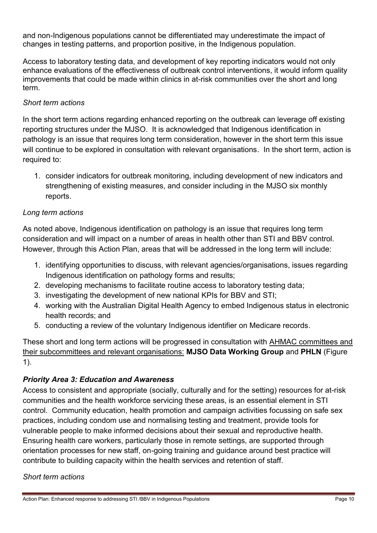and non-Indigenous populations cannot be differentiated may underestimate the impact of changes in testing patterns, and proportion positive, in the Indigenous population.

Access to laboratory testing data, and development of key reporting indicators would not only enhance evaluations of the effectiveness of outbreak control interventions, it would inform quality improvements that could be made within clinics in at-risk communities over the short and long term.

#### *Short term actions*

In the short term actions regarding enhanced reporting on the outbreak can leverage off existing reporting structures under the MJSO. It is acknowledged that Indigenous identification in pathology is an issue that requires long term consideration, however in the short term this issue will continue to be explored in consultation with relevant organisations. In the short term, action is required to:

1. consider indicators for outbreak monitoring, including development of new indicators and strengthening of existing measures, and consider including in the MJSO six monthly reports.

#### *Long term actions*

As noted above, Indigenous identification on pathology is an issue that requires long term consideration and will impact on a number of areas in health other than STI and BBV control. However, through this Action Plan, areas that will be addressed in the long term will include:

- 1. identifying opportunities to discuss, with relevant agencies/organisations, issues regarding Indigenous identification on pathology forms and results;
- 2. developing mechanisms to facilitate routine access to laboratory testing data;
- 3. investigating the development of new national KPIs for BBV and STI;
- 4. working with the Australian Digital Health Agency to embed Indigenous status in electronic health records; and
- 5. conducting a review of the voluntary Indigenous identifier on Medicare records.

These short and long term actions will be progressed in consultation with AHMAC committees and their subcommittees and relevant organisations: **MJSO Data Working Group** and **PHLN** (Figure 1).

#### <span id="page-9-0"></span>*Priority Area 3: Education and Awareness*

Access to consistent and appropriate (socially, culturally and for the setting) resources for at-risk communities and the health workforce servicing these areas, is an essential element in STI control. Community education, health promotion and campaign activities focussing on safe sex practices, including condom use and normalising testing and treatment, provide tools for vulnerable people to make informed decisions about their sexual and reproductive health. Ensuring health care workers, particularly those in remote settings, are supported through orientation processes for new staff, on-going training and guidance around best practice will contribute to building capacity within the health services and retention of staff.

#### *Short term actions*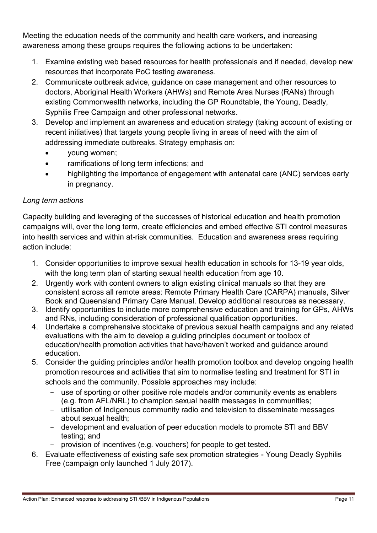Meeting the education needs of the community and health care workers, and increasing awareness among these groups requires the following actions to be undertaken:

- 1. Examine existing web based resources for health professionals and if needed, develop new resources that incorporate PoC testing awareness.
- 2. Communicate outbreak advice, guidance on case management and other resources to doctors, Aboriginal Health Workers (AHWs) and Remote Area Nurses (RANs) through existing Commonwealth networks, including the GP Roundtable, the Young, Deadly, Syphilis Free Campaign and other professional networks.
- 3. Develop and implement an awareness and education strategy (taking account of existing or recent initiatives) that targets young people living in areas of need with the aim of addressing immediate outbreaks. Strategy emphasis on:
	- young women;
	- ramifications of long term infections; and
	- highlighting the importance of engagement with antenatal care (ANC) services early in pregnancy.

## *Long term actions*

Capacity building and leveraging of the successes of historical education and health promotion campaigns will, over the long term, create efficiencies and embed effective STI control measures into health services and within at-risk communities. Education and awareness areas requiring action include:

- 1. Consider opportunities to improve sexual health education in schools for 13-19 year olds, with the long term plan of starting sexual health education from age 10.
- 2. Urgently work with content owners to align existing clinical manuals so that they are consistent across all remote areas: Remote Primary Health Care (CARPA) manuals, Silver Book and Queensland Primary Care Manual. Develop additional resources as necessary.
- 3. Identify opportunities to include more comprehensive education and training for GPs, AHWs and RNs, including consideration of professional qualification opportunities.
- 4. Undertake a comprehensive stocktake of previous sexual health campaigns and any related evaluations with the aim to develop a guiding principles document or toolbox of education/health promotion activities that have/haven't worked and guidance around education.
- 5. Consider the guiding principles and/or health promotion toolbox and develop ongoing health promotion resources and activities that aim to normalise testing and treatment for STI in schools and the community. Possible approaches may include:
	- use of sporting or other positive role models and/or community events as enablers (e.g. from AFL/NRL) to champion sexual health messages in communities;
	- utilisation of Indigenous community radio and television to disseminate messages about sexual health;
	- development and evaluation of peer education models to promote STI and BBV testing; and
	- provision of incentives (e.g. vouchers) for people to get tested.
- 6. Evaluate effectiveness of existing safe sex promotion strategies Young Deadly Syphilis Free (campaign only launched 1 July 2017).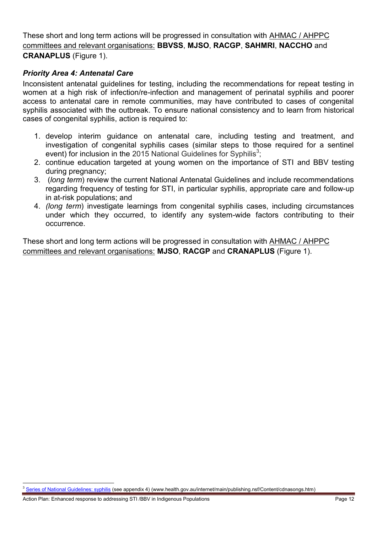These short and long term actions will be progressed in consultation with AHMAC / AHPPC committees and relevant organisations: **BBVSS**, **MJSO**, **RACGP**, **SAHMRI**, **NACCHO** and **CRANAPLUS** (Figure 1).

#### <span id="page-11-0"></span>*Priority Area 4: Antenatal Care*

Inconsistent antenatal guidelines for testing, including the recommendations for repeat testing in women at a high risk of infection/re-infection and management of perinatal syphilis and poorer access to antenatal care in remote communities, may have contributed to cases of congenital syphilis associated with the outbreak. To ensure national consistency and to learn from historical cases of congenital syphilis, action is required to:

- 1. develop interim guidance on antenatal care, including testing and treatment, and investigation of congenital syphilis cases (similar steps to those required for a sentinel event) for inclusion in the 2015 National Guidelines for Syphilis<sup>3</sup>;
- 2. continue education targeted at young women on the importance of STI and BBV testing during pregnancy;
- 3. (*long term*) review the current National Antenatal Guidelines and include recommendations regarding frequency of testing for STI, in particular syphilis, appropriate care and follow-up in at-risk populations; and
- 4. *(long term*) investigate learnings from congenital syphilis cases, including circumstances under which they occurred, to identify any system-wide factors contributing to their occurrence.

These short and long term actions will be progressed in consultation with AHMAC / AHPPC committees and relevant organisations: **MJSO**, **RACGP** and **CRANAPLUS** (Figure 1).

<sup>1</sup> <sup>3</sup> [Series of National Guidelines: syphilis](http://www.health.gov.au/internet/main/publishing.nsf/Content/cdnasongs.htm) (see appendix 4) (www.health.gov.au/internet/main/publishing.nsf/Content/cdnasongs.htm)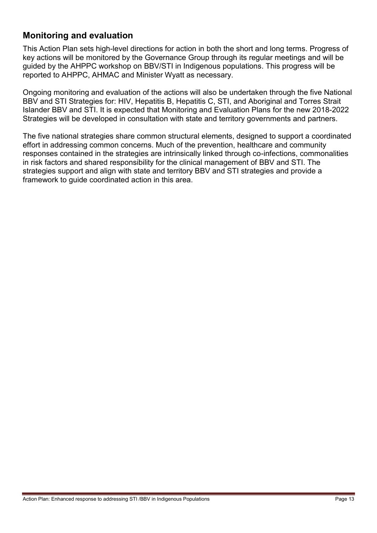## <span id="page-12-0"></span>**Monitoring and evaluation**

This Action Plan sets high-level directions for action in both the short and long terms. Progress of key actions will be monitored by the Governance Group through its regular meetings and will be guided by the AHPPC workshop on BBV/STI in Indigenous populations. This progress will be reported to AHPPC, AHMAC and Minister Wyatt as necessary.

Ongoing monitoring and evaluation of the actions will also be undertaken through the five National BBV and STI Strategies for: HIV, Hepatitis B, Hepatitis C, STI, and Aboriginal and Torres Strait Islander BBV and STI. It is expected that Monitoring and Evaluation Plans for the new 2018-2022 Strategies will be developed in consultation with state and territory governments and partners.

The five national strategies share common structural elements, designed to support a coordinated effort in addressing common concerns. Much of the prevention, healthcare and community responses contained in the strategies are intrinsically linked through co-infections, commonalities in risk factors and shared responsibility for the clinical management of BBV and STI. The strategies support and align with state and territory BBV and STI strategies and provide a framework to guide coordinated action in this area.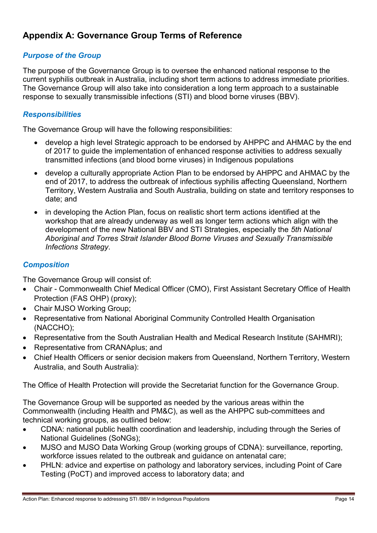## <span id="page-13-0"></span>**Appendix A: Governance Group Terms of Reference**

#### *Purpose of the Group*

The purpose of the Governance Group is to oversee the enhanced national response to the current syphilis outbreak in Australia, including short term actions to address immediate priorities. The Governance Group will also take into consideration a long term approach to a sustainable response to sexually transmissible infections (STI) and blood borne viruses (BBV).

#### *Responsibilities*

The Governance Group will have the following responsibilities:

- develop a high level Strategic approach to be endorsed by AHPPC and AHMAC by the end of 2017 to guide the implementation of enhanced response activities to address sexually transmitted infections (and blood borne viruses) in Indigenous populations
- develop a culturally appropriate Action Plan to be endorsed by AHPPC and AHMAC by the end of 2017, to address the outbreak of infectious syphilis affecting Queensland, Northern Territory, Western Australia and South Australia, building on state and territory responses to date; and
- in developing the Action Plan, focus on realistic short term actions identified at the workshop that are already underway as well as longer term actions which align with the development of the new National BBV and STI Strategies, especially the *5th National Aboriginal and Torres Strait Islander Blood Borne Viruses and Sexually Transmissible Infections Strategy*.

#### *Composition*

The Governance Group will consist of:

- Chair Commonwealth Chief Medical Officer (CMO), First Assistant Secretary Office of Health Protection (FAS OHP) (proxy);
- Chair MJSO Working Group;
- Representative from National Aboriginal Community Controlled Health Organisation (NACCHO);
- Representative from the South Australian Health and Medical Research Institute (SAHMRI);
- Representative from CRANAplus; and
- Chief Health Officers or senior decision makers from Queensland, Northern Territory, Western Australia, and South Australia):

The Office of Health Protection will provide the Secretariat function for the Governance Group.

The Governance Group will be supported as needed by the various areas within the Commonwealth (including Health and PM&C), as well as the AHPPC sub-committees and technical working groups, as outlined below:

- CDNA: national public health coordination and leadership, including through the Series of National Guidelines (SoNGs);
- MJSO and MJSO Data Working Group (working groups of CDNA): surveillance, reporting, workforce issues related to the outbreak and guidance on antenatal care;
- PHLN: advice and expertise on pathology and laboratory services, including Point of Care Testing (PoCT) and improved access to laboratory data; and